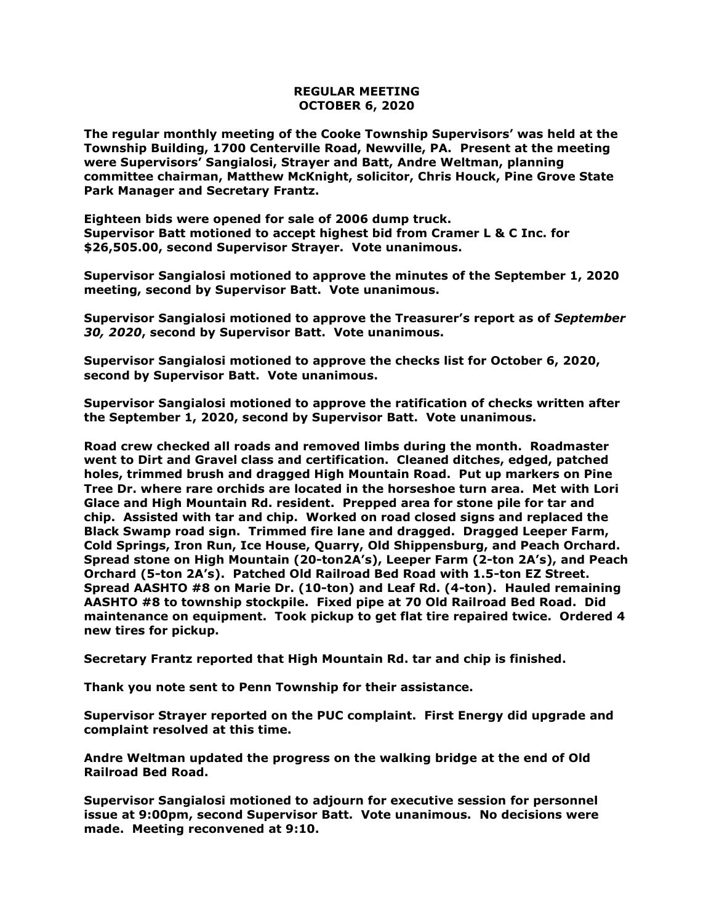## **REGULAR MEETING OCTOBER 6, 2020**

**The regular monthly meeting of the Cooke Township Supervisors' was held at the Township Building, 1700 Centerville Road, Newville, PA. Present at the meeting were Supervisors' Sangialosi, Strayer and Batt, Andre Weltman, planning committee chairman, Matthew McKnight, solicitor, Chris Houck, Pine Grove State Park Manager and Secretary Frantz.** 

**Eighteen bids were opened for sale of 2006 dump truck. Supervisor Batt motioned to accept highest bid from Cramer L & C Inc. for \$26,505.00, second Supervisor Strayer. Vote unanimous.**

**Supervisor Sangialosi motioned to approve the minutes of the September 1, 2020 meeting, second by Supervisor Batt. Vote unanimous.** 

**Supervisor Sangialosi motioned to approve the Treasurer's report as of** *September 30, 2020***, second by Supervisor Batt. Vote unanimous.**

**Supervisor Sangialosi motioned to approve the checks list for October 6, 2020, second by Supervisor Batt. Vote unanimous.**

**Supervisor Sangialosi motioned to approve the ratification of checks written after the September 1, 2020, second by Supervisor Batt. Vote unanimous.**

**Road crew checked all roads and removed limbs during the month. Roadmaster went to Dirt and Gravel class and certification. Cleaned ditches, edged, patched holes, trimmed brush and dragged High Mountain Road. Put up markers on Pine Tree Dr. where rare orchids are located in the horseshoe turn area. Met with Lori Glace and High Mountain Rd. resident. Prepped area for stone pile for tar and chip. Assisted with tar and chip. Worked on road closed signs and replaced the Black Swamp road sign. Trimmed fire lane and dragged. Dragged Leeper Farm, Cold Springs, Iron Run, Ice House, Quarry, Old Shippensburg, and Peach Orchard. Spread stone on High Mountain (20-ton2A's), Leeper Farm (2-ton 2A's), and Peach Orchard (5-ton 2A's). Patched Old Railroad Bed Road with 1.5-ton EZ Street. Spread AASHTO #8 on Marie Dr. (10-ton) and Leaf Rd. (4-ton). Hauled remaining AASHTO #8 to township stockpile. Fixed pipe at 70 Old Railroad Bed Road. Did maintenance on equipment. Took pickup to get flat tire repaired twice. Ordered 4 new tires for pickup.**

**Secretary Frantz reported that High Mountain Rd. tar and chip is finished.** 

**Thank you note sent to Penn Township for their assistance.**

**Supervisor Strayer reported on the PUC complaint. First Energy did upgrade and complaint resolved at this time.**

**Andre Weltman updated the progress on the walking bridge at the end of Old Railroad Bed Road.** 

**Supervisor Sangialosi motioned to adjourn for executive session for personnel issue at 9:00pm, second Supervisor Batt. Vote unanimous. No decisions were made. Meeting reconvened at 9:10.**